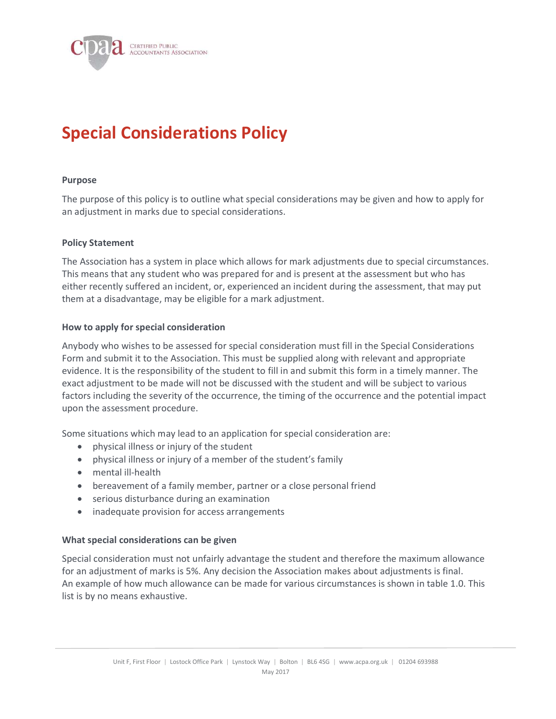

# Special Considerations Policy

#### Purpose

The purpose of this policy is to outline what special considerations may be given and how to apply for an adjustment in marks due to special considerations.

## Policy Statement

The Association has a system in place which allows for mark adjustments due to special circumstances. This means that any student who was prepared for and is present at the assessment but who has either recently suffered an incident, or, experienced an incident during the assessment, that may put them at a disadvantage, may be eligible for a mark adjustment.

## How to apply for special consideration

Anybody who wishes to be assessed for special consideration must fill in the Special Considerations Form and submit it to the Association. This must be supplied along with relevant and appropriate evidence. It is the responsibility of the student to fill in and submit this form in a timely manner. The exact adjustment to be made will not be discussed with the student and will be subject to various factors including the severity of the occurrence, the timing of the occurrence and the potential impact upon the assessment procedure.

Some situations which may lead to an application for special consideration are:

- physical illness or injury of the student
- physical illness or injury of a member of the student's family
- mental ill-health
- bereavement of a family member, partner or a close personal friend
- serious disturbance during an examination
- inadequate provision for access arrangements

## What special considerations can be given

Special consideration must not unfairly advantage the student and therefore the maximum allowance for an adjustment of marks is 5%. Any decision the Association makes about adjustments is final. An example of how much allowance can be made for various circumstances is shown in table 1.0. This list is by no means exhaustive.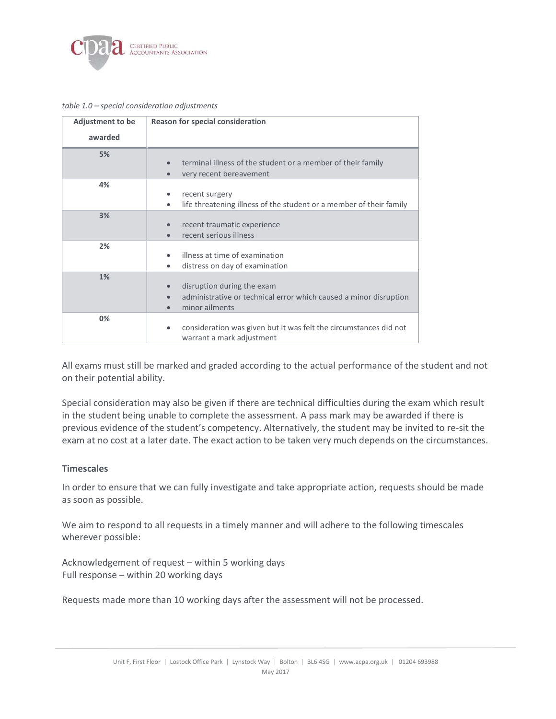

#### table 1.0 – special consideration adjustments

| <b>Adjustment to be</b> | <b>Reason for special consideration</b>                                        |
|-------------------------|--------------------------------------------------------------------------------|
| awarded                 |                                                                                |
| 5%                      |                                                                                |
|                         | terminal illness of the student or a member of their family                    |
|                         | very recent bereavement<br>$\bullet$                                           |
| 4%                      |                                                                                |
|                         | recent surgery<br>٠                                                            |
|                         | life threatening illness of the student or a member of their family<br>٠       |
| 3%                      |                                                                                |
|                         | recent traumatic experience<br>$\bullet$                                       |
|                         | recent serious illness<br>$\bullet$                                            |
| 2%                      |                                                                                |
|                         | illness at time of examination                                                 |
|                         | distress on day of examination<br>٠                                            |
| 1%                      |                                                                                |
|                         | disruption during the exam<br>$\bullet$                                        |
|                         | administrative or technical error which caused a minor disruption<br>$\bullet$ |
|                         | minor ailments                                                                 |
| 0%                      |                                                                                |
|                         | consideration was given but it was felt the circumstances did not<br>٠         |
|                         | warrant a mark adjustment                                                      |

All exams must still be marked and graded according to the actual performance of the student and not on their potential ability.

Special consideration may also be given if there are technical difficulties during the exam which result in the student being unable to complete the assessment. A pass mark may be awarded if there is previous evidence of the student's competency. Alternatively, the student may be invited to re-sit the exam at no cost at a later date. The exact action to be taken very much depends on the circumstances.

#### **Timescales**

In order to ensure that we can fully investigate and take appropriate action, requests should be made as soon as possible.

We aim to respond to all requests in a timely manner and will adhere to the following timescales wherever possible:

Acknowledgement of request – within 5 working days Full response – within 20 working days

Requests made more than 10 working days after the assessment will not be processed.